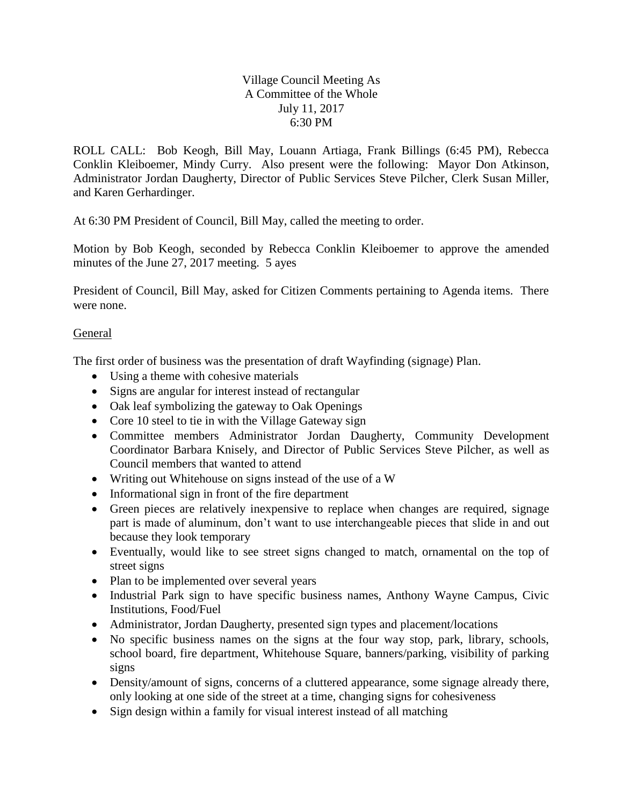## Village Council Meeting As A Committee of the Whole July 11, 2017 6:30 PM

ROLL CALL: Bob Keogh, Bill May, Louann Artiaga, Frank Billings (6:45 PM), Rebecca Conklin Kleiboemer, Mindy Curry. Also present were the following: Mayor Don Atkinson, Administrator Jordan Daugherty, Director of Public Services Steve Pilcher, Clerk Susan Miller, and Karen Gerhardinger.

At 6:30 PM President of Council, Bill May, called the meeting to order.

Motion by Bob Keogh, seconded by Rebecca Conklin Kleiboemer to approve the amended minutes of the June 27, 2017 meeting. 5 ayes

President of Council, Bill May, asked for Citizen Comments pertaining to Agenda items. There were none.

## General

The first order of business was the presentation of draft Wayfinding (signage) Plan.

- Using a theme with cohesive materials
- Signs are angular for interest instead of rectangular
- Oak leaf symbolizing the gateway to Oak Openings
- Core 10 steel to tie in with the Village Gateway sign
- Committee members Administrator Jordan Daugherty, Community Development Coordinator Barbara Knisely, and Director of Public Services Steve Pilcher, as well as Council members that wanted to attend
- Writing out Whitehouse on signs instead of the use of a W
- Informational sign in front of the fire department
- Green pieces are relatively inexpensive to replace when changes are required, signage part is made of aluminum, don't want to use interchangeable pieces that slide in and out because they look temporary
- Eventually, would like to see street signs changed to match, ornamental on the top of street signs
- Plan to be implemented over several years
- Industrial Park sign to have specific business names, Anthony Wayne Campus, Civic Institutions, Food/Fuel
- Administrator, Jordan Daugherty, presented sign types and placement/locations
- No specific business names on the signs at the four way stop, park, library, schools, school board, fire department, Whitehouse Square, banners/parking, visibility of parking signs
- Density/amount of signs, concerns of a cluttered appearance, some signage already there, only looking at one side of the street at a time, changing signs for cohesiveness
- Sign design within a family for visual interest instead of all matching